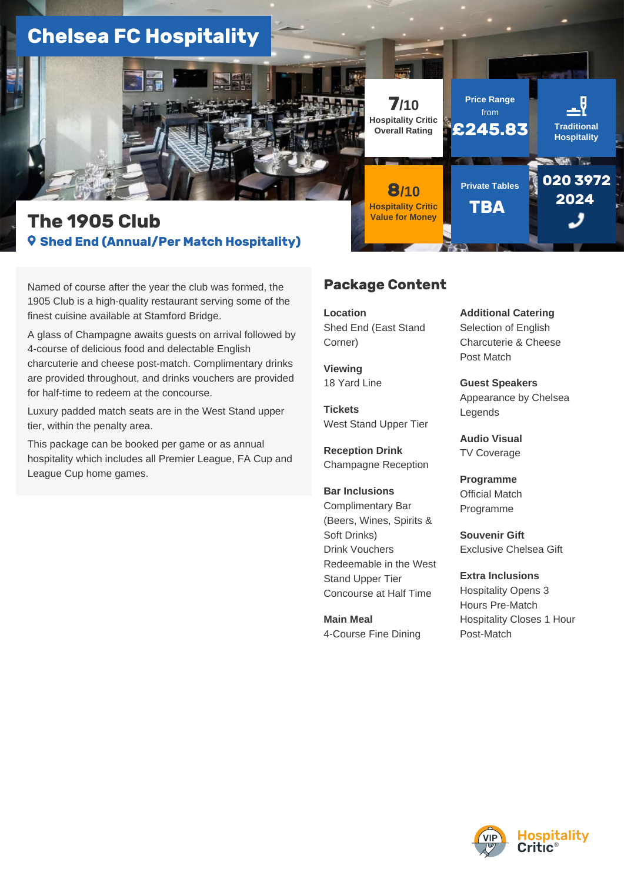

Named of course after the year the club was formed, the 1905 Club is a high-quality restaurant serving some of the finest cuisine available at Stamford Bridge.

A glass of Champagne awaits guests on arrival followed by 4-course of delicious food and delectable English charcuterie and cheese post-match. Complimentary drinks are provided throughout, and drinks vouchers are provided for half-time to redeem at the concourse.

Luxury padded match seats are in the West Stand upper tier, within the penalty area.

This package can be booked per game or as annual hospitality which includes all Premier League, FA Cup and League Cup home games.

## **Package Content**

**Location**  Shed End (East Stand Corner)

**Viewing**  18 Yard Line

**Tickets**  West Stand Upper Tier

**Reception Drink**  Champagne Reception

## **Bar Inclusions**

Complimentary Bar (Beers, Wines, Spirits & Soft Drinks) Drink Vouchers Redeemable in the West Stand Upper Tier Concourse at Half Time

**Main Meal**  4-Course Fine Dining **Additional Catering**  Selection of English Charcuterie & Cheese Post Match

**Guest Speakers**  Appearance by Chelsea Legends

**Audio Visual**  TV Coverage

**Programme**  Official Match Programme

**Souvenir Gift**  Exclusive Chelsea Gift

**Extra Inclusions**  Hospitality Opens 3 Hours Pre-Match Hospitality Closes 1 Hour Post-Match